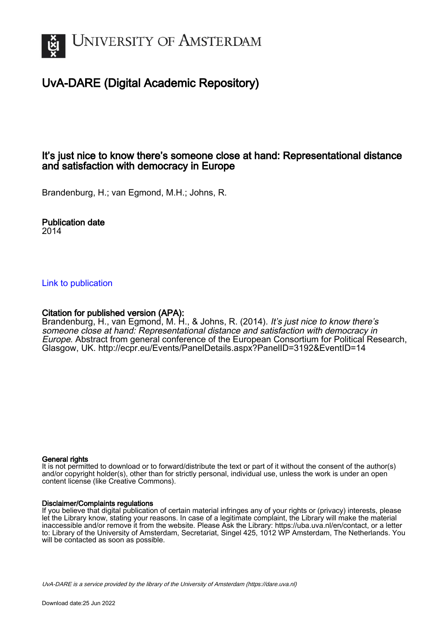

# UvA-DARE (Digital Academic Repository)

# It's just nice to know there's someone close at hand: Representational distance and satisfaction with democracy in Europe

Brandenburg, H.; van Egmond, M.H.; Johns, R.

Publication date 2014

### [Link to publication](https://dare.uva.nl/personal/pure/en/publications/its-just-nice-to-know-theres-someone-close-at-hand-representational-distance-and-satisfaction-with-democracy-in-europe(6fb8fa06-223d-4d7c-9552-ab4e5ecbc66f).html)

### Citation for published version (APA):

Brandenburg, H., van Egmond, M. H., & Johns, R. (2014). It's just nice to know there's someone close at hand: Representational distance and satisfaction with democracy in Europe. Abstract from general conference of the European Consortium for Political Research, Glasgow, UK. <http://ecpr.eu/Events/PanelDetails.aspx?PanelID=3192&EventID=14>

### General rights

It is not permitted to download or to forward/distribute the text or part of it without the consent of the author(s) and/or copyright holder(s), other than for strictly personal, individual use, unless the work is under an open content license (like Creative Commons).

### Disclaimer/Complaints regulations

If you believe that digital publication of certain material infringes any of your rights or (privacy) interests, please let the Library know, stating your reasons. In case of a legitimate complaint, the Library will make the material inaccessible and/or remove it from the website. Please Ask the Library: https://uba.uva.nl/en/contact, or a letter to: Library of the University of Amsterdam, Secretariat, Singel 425, 1012 WP Amsterdam, The Netherlands. You will be contacted as soon as possible.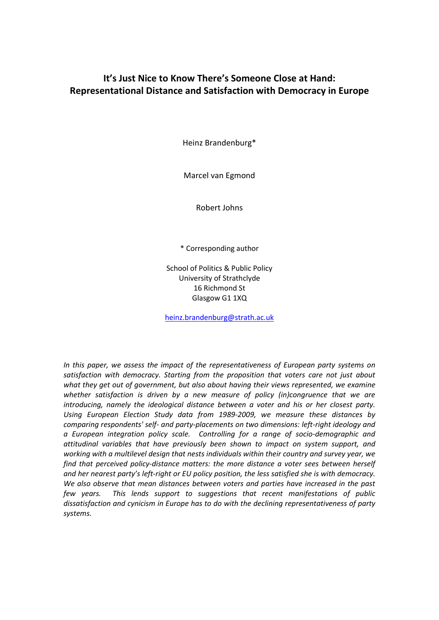# **It's Just Nice to Know There's Someone Close at Hand: Representational Distance and Satisfaction with Democracy in Europe**

Heinz Brandenburg\*

Marcel van Egmond

Robert Johns

\* Corresponding author

School of Politics & Public Policy University of Strathclyde 16 Richmond St Glasgow G1 1XQ

[heinz.brandenburg@strath.ac.uk](mailto:heinz.brandenburg@strath.ac.uk)

*In this paper, we assess the impact of the representativeness of European party systems on satisfaction with democracy. Starting from the proposition that voters care not just about what they get out of government, but also about having their views represented, we examine whether satisfaction is driven by a new measure of policy (in)congruence that we are introducing, namely the ideological distance between a voter and his or her closest party. Using European Election Study data from 1989-2009, we measure these distances by comparing respondents' self- and party-placements on two dimensions: left-right ideology and a European integration policy scale. Controlling for a range of socio-demographic and attitudinal variables that have previously been shown to impact on system support, and working with a multilevel design that nests individuals within their country and survey year, we find that perceived policy-distance matters: the more distance a voter sees between herself and her nearest party's left-right or EU policy position, the less satisfied she is with democracy. We also observe that mean distances between voters and parties have increased in the past few years. This lends support to suggestions that recent manifestations of public dissatisfaction and cynicism in Europe has to do with the declining representativeness of party systems.*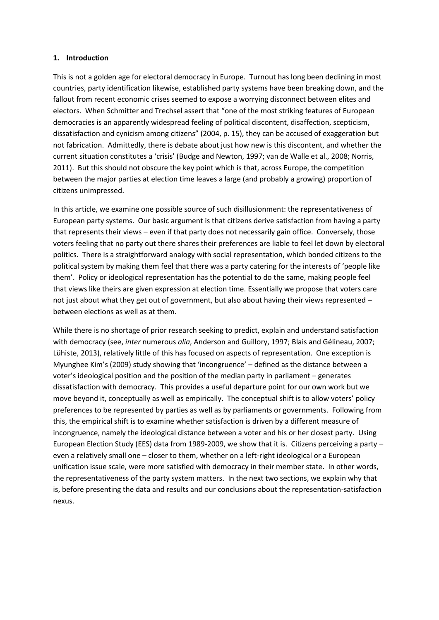### **1. Introduction**

This is not a golden age for electoral democracy in Europe. Turnout has long been declining in most countries, party identification likewise, established party systems have been breaking down, and the fallout from recent economic crises seemed to expose a worrying disconnect between elites and electors. When Schmitter and Trechsel assert that "one of the most striking features of European democracies is an apparently widespread feeling of political discontent, disaffection, scepticism, dissatisfaction and cynicism among citizens" (2004, p. 15), they can be accused of exaggeration but not fabrication. Admittedly, there is debate about just how new is this discontent, and whether the current situation constitutes a 'crisis' (Budge and Newton, 1997; van de Walle et al., 2008; Norris, 2011). But this should not obscure the key point which is that, across Europe, the competition between the major parties at election time leaves a large (and probably a growing) proportion of citizens unimpressed.

In this article, we examine one possible source of such disillusionment: the representativeness of European party systems. Our basic argument is that citizens derive satisfaction from having a party that represents their views – even if that party does not necessarily gain office. Conversely, those voters feeling that no party out there shares their preferences are liable to feel let down by electoral politics. There is a straightforward analogy with social representation, which bonded citizens to the political system by making them feel that there was a party catering for the interests of 'people like them'. Policy or ideological representation has the potential to do the same, making people feel that views like theirs are given expression at election time. Essentially we propose that voters care not just about what they get out of government, but also about having their views represented – between elections as well as at them.

While there is no shortage of prior research seeking to predict, explain and understand satisfaction with democracy (see, *inter* numerous *alia*, Anderson and Guillory, 1997; Blais and Gélineau, 2007; Lühiste, 2013), relatively little of this has focused on aspects of representation. One exception is Myunghee Kim's (2009) study showing that 'incongruence' – defined as the distance between a voter's ideological position and the position of the median party in parliament – generates dissatisfaction with democracy. This provides a useful departure point for our own work but we move beyond it, conceptually as well as empirically. The conceptual shift is to allow voters' policy preferences to be represented by parties as well as by parliaments or governments. Following from this, the empirical shift is to examine whether satisfaction is driven by a different measure of incongruence, namely the ideological distance between a voter and his or her closest party. Using European Election Study (EES) data from 1989-2009, we show that it is. Citizens perceiving a party – even a relatively small one – closer to them, whether on a left-right ideological or a European unification issue scale, were more satisfied with democracy in their member state. In other words, the representativeness of the party system matters. In the next two sections, we explain why that is, before presenting the data and results and our conclusions about the representation-satisfaction nexus.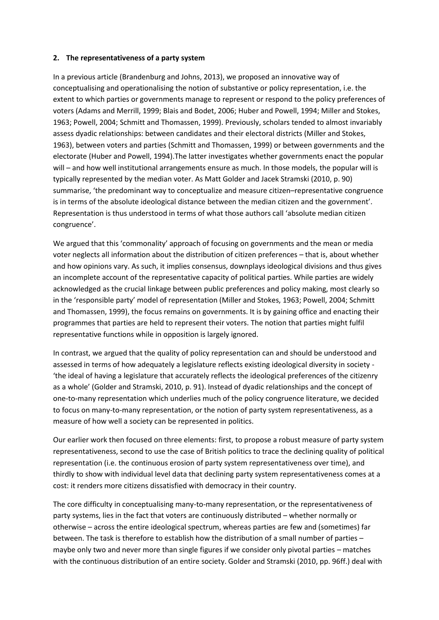### **2. The representativeness of a party system**

In a previous article (Brandenburg and Johns, 2013), we proposed an innovative way of conceptualising and operationalising the notion of substantive or policy representation, i.e. the extent to which parties or governments manage to represent or respond to the policy preferences of voters (Adams and Merrill, 1999; Blais and Bodet, 2006; Huber and Powell, 1994; Miller and Stokes, 1963; Powell, 2004; Schmitt and Thomassen, 1999). Previously, scholars tended to almost invariably assess dyadic relationships: between candidates and their electoral districts (Miller and Stokes, 1963), between voters and parties (Schmitt and Thomassen, 1999) or between governments and the electorate (Huber and Powell, 1994).The latter investigates whether governments enact the popular will – and how well institutional arrangements ensure as much. In those models, the popular will is typically represented by the median voter. As Matt Golder and Jacek Stramski (2010, p. 90) summarise, 'the predominant way to conceptualize and measure citizen–representative congruence is in terms of the absolute ideological distance between the median citizen and the government'. Representation is thus understood in terms of what those authors call 'absolute median citizen congruence'.

We argued that this 'commonality' approach of focusing on governments and the mean or media voter neglects all information about the distribution of citizen preferences – that is, about whether and how opinions vary. As such, it implies consensus, downplays ideological divisions and thus gives an incomplete account of the representative capacity of political parties. While parties are widely acknowledged as the crucial linkage between public preferences and policy making, most clearly so in the 'responsible party' model of representation (Miller and Stokes, 1963; Powell, 2004; Schmitt and Thomassen, 1999), the focus remains on governments. It is by gaining office and enacting their programmes that parties are held to represent their voters. The notion that parties might fulfil representative functions while in opposition is largely ignored.

In contrast, we argued that the quality of policy representation can and should be understood and assessed in terms of how adequately a legislature reflects existing ideological diversity in society - 'the ideal of having a legislature that accurately reflects the ideological preferences of the citizenry as a whole' (Golder and Stramski, 2010, p. 91). Instead of dyadic relationships and the concept of one-to-many representation which underlies much of the policy congruence literature, we decided to focus on many-to-many representation, or the notion of party system representativeness, as a measure of how well a society can be represented in politics.

Our earlier work then focused on three elements: first, to propose a robust measure of party system representativeness, second to use the case of British politics to trace the declining quality of political representation (i.e. the continuous erosion of party system representativeness over time), and thirdly to show with individual level data that declining party system representativeness comes at a cost: it renders more citizens dissatisfied with democracy in their country.

The core difficulty in conceptualising many-to-many representation, or the representativeness of party systems, lies in the fact that voters are continuously distributed – whether normally or otherwise – across the entire ideological spectrum, whereas parties are few and (sometimes) far between. The task is therefore to establish how the distribution of a small number of parties – maybe only two and never more than single figures if we consider only pivotal parties – matches with the continuous distribution of an entire society. Golder and Stramski (2010, pp. 96ff.) deal with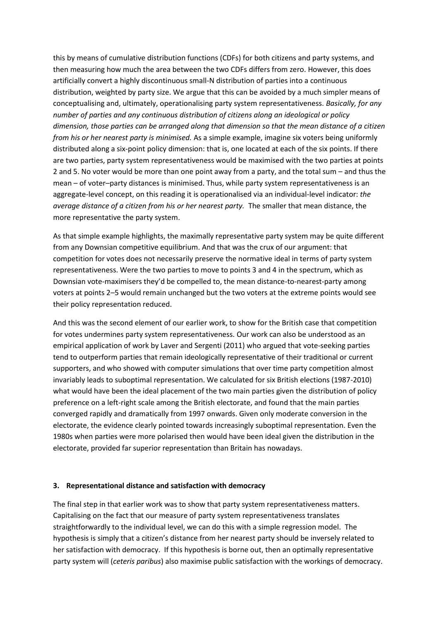this by means of cumulative distribution functions (CDFs) for both citizens and party systems, and then measuring how much the area between the two CDFs differs from zero. However, this does artificially convert a highly discontinuous small-N distribution of parties into a continuous distribution, weighted by party size. We argue that this can be avoided by a much simpler means of conceptualising and, ultimately, operationalising party system representativeness. *Basically, for any number of parties and any continuous distribution of citizens along an ideological or policy dimension, those parties can be arranged along that dimension so that the mean distance of a citizen from his or her nearest party is minimised.* As a simple example, imagine six voters being uniformly distributed along a six-point policy dimension: that is, one located at each of the six points. If there are two parties, party system representativeness would be maximised with the two parties at points 2 and 5. No voter would be more than one point away from a party, and the total sum – and thus the mean – of voter–party distances is minimised. Thus, while party system representativeness is an aggregate-level concept, on this reading it is operationalised via an individual-level indicator: *the average distance of a citizen from his or her nearest party.* The smaller that mean distance, the more representative the party system.

As that simple example highlights, the maximally representative party system may be quite different from any Downsian competitive equilibrium. And that was the crux of our argument: that competition for votes does not necessarily preserve the normative ideal in terms of party system representativeness. Were the two parties to move to points 3 and 4 in the spectrum, which as Downsian vote-maximisers they'd be compelled to, the mean distance-to-nearest-party among voters at points 2–5 would remain unchanged but the two voters at the extreme points would see their policy representation reduced.

And this was the second element of our earlier work, to show for the British case that competition for votes undermines party system representativeness. Our work can also be understood as an empirical application of work by Laver and Sergenti (2011) who argued that vote-seeking parties tend to outperform parties that remain ideologically representative of their traditional or current supporters, and who showed with computer simulations that over time party competition almost invariably leads to suboptimal representation. We calculated for six British elections (1987-2010) what would have been the ideal placement of the two main parties given the distribution of policy preference on a left-right scale among the British electorate, and found that the main parties converged rapidly and dramatically from 1997 onwards. Given only moderate conversion in the electorate, the evidence clearly pointed towards increasingly suboptimal representation. Even the 1980s when parties were more polarised then would have been ideal given the distribution in the electorate, provided far superior representation than Britain has nowadays.

### **3. Representational distance and satisfaction with democracy**

The final step in that earlier work was to show that party system representativeness matters. Capitalising on the fact that our measure of party system representativeness translates straightforwardly to the individual level, we can do this with a simple regression model. The hypothesis is simply that a citizen's distance from her nearest party should be inversely related to her satisfaction with democracy. If this hypothesis is borne out, then an optimally representative party system will (*ceteris paribus*) also maximise public satisfaction with the workings of democracy.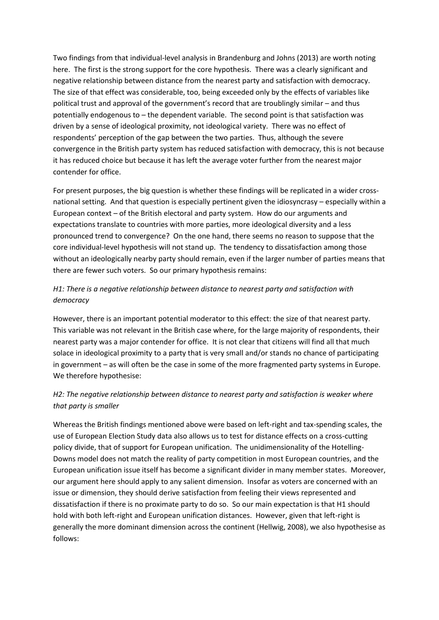Two findings from that individual-level analysis in Brandenburg and Johns (2013) are worth noting here. The first is the strong support for the core hypothesis. There was a clearly significant and negative relationship between distance from the nearest party and satisfaction with democracy. The size of that effect was considerable, too, being exceeded only by the effects of variables like political trust and approval of the government's record that are troublingly similar – and thus potentially endogenous to – the dependent variable. The second point is that satisfaction was driven by a sense of ideological proximity, not ideological variety. There was no effect of respondents' perception of the gap between the two parties. Thus, although the severe convergence in the British party system has reduced satisfaction with democracy, this is not because it has reduced choice but because it has left the average voter further from the nearest major contender for office.

For present purposes, the big question is whether these findings will be replicated in a wider crossnational setting. And that question is especially pertinent given the idiosyncrasy – especially within a European context – of the British electoral and party system. How do our arguments and expectations translate to countries with more parties, more ideological diversity and a less pronounced trend to convergence? On the one hand, there seems no reason to suppose that the core individual-level hypothesis will not stand up. The tendency to dissatisfaction among those without an ideologically nearby party should remain, even if the larger number of parties means that there are fewer such voters. So our primary hypothesis remains:

### *H1: There is a negative relationship between distance to nearest party and satisfaction with democracy*

However, there is an important potential moderator to this effect: the size of that nearest party. This variable was not relevant in the British case where, for the large majority of respondents, their nearest party was a major contender for office. It is not clear that citizens will find all that much solace in ideological proximity to a party that is very small and/or stands no chance of participating in government – as will often be the case in some of the more fragmented party systems in Europe. We therefore hypothesise:

### *H2: The negative relationship between distance to nearest party and satisfaction is weaker where that party is smaller*

Whereas the British findings mentioned above were based on left-right and tax-spending scales, the use of European Election Study data also allows us to test for distance effects on a cross-cutting policy divide, that of support for European unification. The unidimensionality of the Hotelling-Downs model does not match the reality of party competition in most European countries, and the European unification issue itself has become a significant divider in many member states. Moreover, our argument here should apply to any salient dimension. Insofar as voters are concerned with an issue or dimension, they should derive satisfaction from feeling their views represented and dissatisfaction if there is no proximate party to do so. So our main expectation is that H1 should hold with both left-right and European unification distances. However, given that left-right is generally the more dominant dimension across the continent (Hellwig, 2008), we also hypothesise as follows: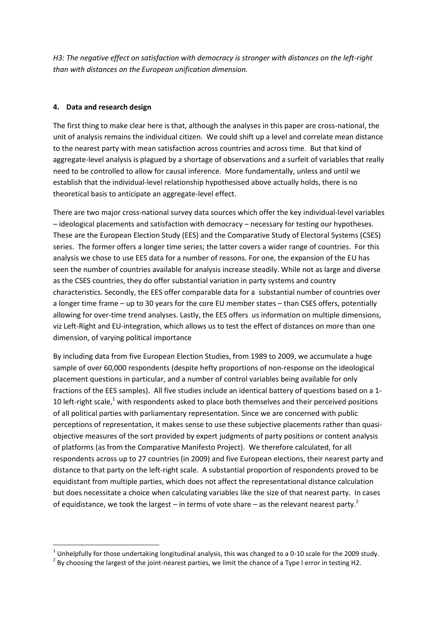*H3: The negative effect on satisfaction with democracy is stronger with distances on the left-right than with distances on the European unification dimension.* 

### **4. Data and research design**

1

The first thing to make clear here is that, although the analyses in this paper are cross-national, the unit of analysis remains the individual citizen. We could shift up a level and correlate mean distance to the nearest party with mean satisfaction across countries and across time. But that kind of aggregate-level analysis is plagued by a shortage of observations and a surfeit of variables that really need to be controlled to allow for causal inference. More fundamentally, unless and until we establish that the individual-level relationship hypothesised above actually holds, there is no theoretical basis to anticipate an aggregate-level effect.

There are two major cross-national survey data sources which offer the key individual-level variables – ideological placements and satisfaction with democracy – necessary for testing our hypotheses. These are the European Election Study (EES) and the Comparative Study of Electoral Systems (CSES) series. The former offers a longer time series; the latter covers a wider range of countries. For this analysis we chose to use EES data for a number of reasons. For one, the expansion of the EU has seen the number of countries available for analysis increase steadily. While not as large and diverse as the CSES countries, they do offer substantial variation in party systems and country characteristics. Secondly, the EES offer comparable data for a substantial number of countries over a longer time frame – up to 30 years for the core EU member states – than CSES offers, potentially allowing for over-time trend analyses. Lastly, the EES offers us information on multiple dimensions, viz Left-Right and EU-integration, which allows us to test the effect of distances on more than one dimension, of varying political importance

By including data from five European Election Studies, from 1989 to 2009, we accumulate a huge sample of over 60,000 respondents (despite hefty proportions of non-response on the ideological placement questions in particular, and a number of control variables being available for only fractions of the EES samples). All five studies include an identical battery of questions based on a 1- 10 left-right scale,<sup>1</sup> with respondents asked to place both themselves and their perceived positions of all political parties with parliamentary representation. Since we are concerned with public perceptions of representation, it makes sense to use these subjective placements rather than quasiobjective measures of the sort provided by expert judgments of party positions or content analysis of platforms (as from the Comparative Manifesto Project). We therefore calculated, for all respondents across up to 27 countries (in 2009) and five European elections, their nearest party and distance to that party on the left-right scale. A substantial proportion of respondents proved to be equidistant from multiple parties, which does not affect the representational distance calculation but does necessitate a choice when calculating variables like the size of that nearest party. In cases of equidistance, we took the largest – in terms of vote share – as the relevant nearest party.<sup>2</sup>

 $^1$  Unhelpfully for those undertaking longitudinal analysis, this was changed to a 0-10 scale for the 2009 study.

 $2$  By choosing the largest of the joint-nearest parties, we limit the chance of a Type I error in testing H2.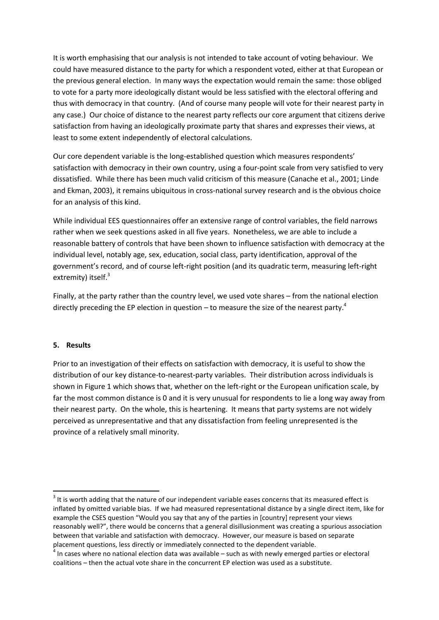It is worth emphasising that our analysis is not intended to take account of voting behaviour. We could have measured distance to the party for which a respondent voted, either at that European or the previous general election. In many ways the expectation would remain the same: those obliged to vote for a party more ideologically distant would be less satisfied with the electoral offering and thus with democracy in that country. (And of course many people will vote for their nearest party in any case.) Our choice of distance to the nearest party reflects our core argument that citizens derive satisfaction from having an ideologically proximate party that shares and expresses their views, at least to some extent independently of electoral calculations.

Our core dependent variable is the long-established question which measures respondents' satisfaction with democracy in their own country, using a four-point scale from very satisfied to very dissatisfied. While there has been much valid criticism of this measure (Canache et al., 2001; Linde and Ekman, 2003), it remains ubiquitous in cross-national survey research and is the obvious choice for an analysis of this kind.

While individual EES questionnaires offer an extensive range of control variables, the field narrows rather when we seek questions asked in all five years. Nonetheless, we are able to include a reasonable battery of controls that have been shown to influence satisfaction with democracy at the individual level, notably age, sex, education, social class, party identification, approval of the government's record, and of course left-right position (and its quadratic term, measuring left-right extremity) itself.<sup>3</sup>

Finally, at the party rather than the country level, we used vote shares – from the national election directly preceding the EP election in question – to measure the size of the nearest party.<sup>4</sup>

### **5. Results**

**.** 

Prior to an investigation of their effects on satisfaction with democracy, it is useful to show the distribution of our key distance-to-nearest-party variables. Their distribution across individuals is shown in Figure 1 which shows that, whether on the left-right or the European unification scale, by far the most common distance is 0 and it is very unusual for respondents to lie a long way away from their nearest party. On the whole, this is heartening. It means that party systems are not widely perceived as unrepresentative and that any dissatisfaction from feeling unrepresented is the province of a relatively small minority.

 $3$  It is worth adding that the nature of our independent variable eases concerns that its measured effect is inflated by omitted variable bias. If we had measured representational distance by a single direct item, like for example the CSES question "Would you say that any of the parties in [country] represent your views reasonably well?", there would be concerns that a general disillusionment was creating a spurious association between that variable and satisfaction with democracy. However, our measure is based on separate placement questions, less directly or immediately connected to the dependent variable.

<sup>4</sup> In cases where no national election data was available – such as with newly emerged parties or electoral coalitions – then the actual vote share in the concurrent EP election was used as a substitute.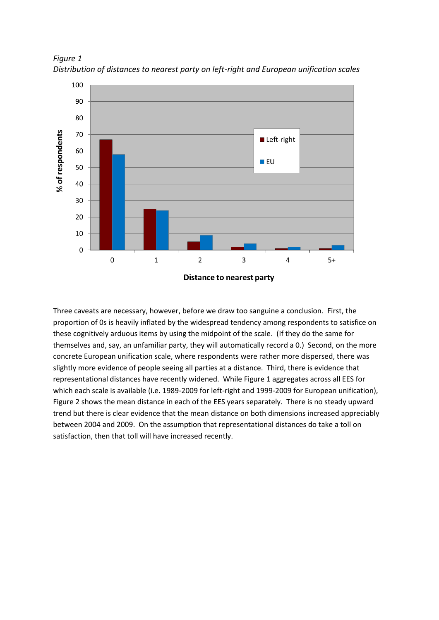

*Figure 1 Distribution of distances to nearest party on left-right and European unification scales*

Three caveats are necessary, however, before we draw too sanguine a conclusion. First, the proportion of 0s is heavily inflated by the widespread tendency among respondents to satisfice on these cognitively arduous items by using the midpoint of the scale. (If they do the same for themselves and, say, an unfamiliar party, they will automatically record a 0.) Second, on the more concrete European unification scale, where respondents were rather more dispersed, there was slightly more evidence of people seeing all parties at a distance. Third, there is evidence that representational distances have recently widened. While Figure 1 aggregates across all EES for which each scale is available (i.e. 1989-2009 for left-right and 1999-2009 for European unification), Figure 2 shows the mean distance in each of the EES years separately. There is no steady upward trend but there is clear evidence that the mean distance on both dimensions increased appreciably between 2004 and 2009. On the assumption that representational distances do take a toll on satisfaction, then that toll will have increased recently.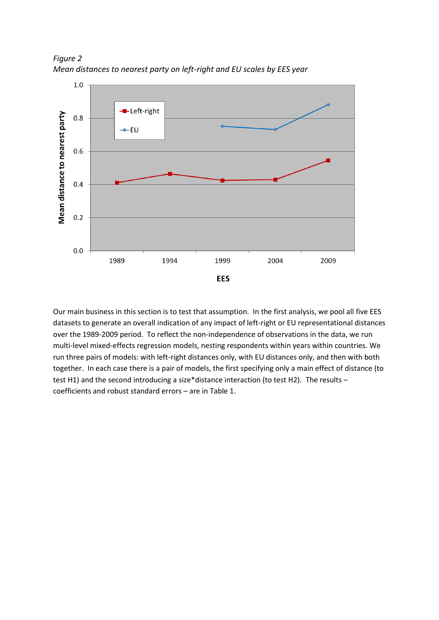

*Figure 2 Mean distances to nearest party on left-right and EU scales by EES year*

Our main business in this section is to test that assumption. In the first analysis, we pool all five EES datasets to generate an overall indication of any impact of left-right or EU representational distances over the 1989-2009 period. To reflect the non-independence of observations in the data, we run multi-level mixed-effects regression models, nesting respondents within years within countries. We run three pairs of models: with left-right distances only, with EU distances only, and then with both together. In each case there is a pair of models, the first specifying only a main effect of distance (to test H1) and the second introducing a size\*distance interaction (to test H2). The results – coefficients and robust standard errors – are in Table 1.

**EES**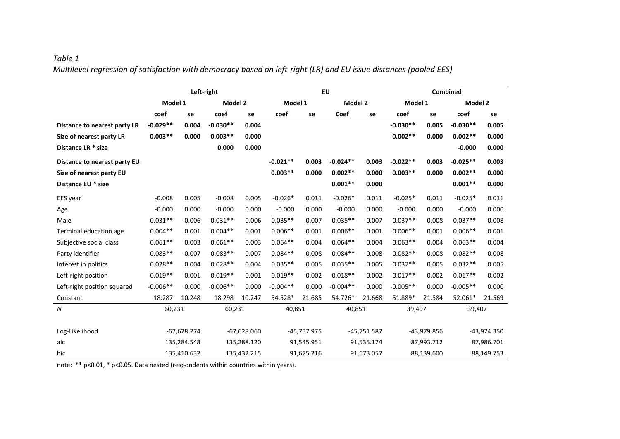# *Table 1 Multilevel regression of satisfaction with democracy based on left-right (LR) and EU issue distances (pooled EES)*

|                              | Left-right    |        |               |        | <b>EU</b>   |        |               |        | <b>Combined</b> |        |             |        |
|------------------------------|---------------|--------|---------------|--------|-------------|--------|---------------|--------|-----------------|--------|-------------|--------|
|                              | Model 1       |        | Model 2       |        | Model 1     |        | Model 2       |        | Model 1         |        | Model 2     |        |
|                              | coef          | se     | coef          | se     | coef        | se     | Coef          | se     | coef            | se     | coef        | se     |
| Distance to nearest party LR | $-0.029**$    | 0.004  | $-0.030**$    | 0.004  |             |        |               |        | $-0.030**$      | 0.005  | $-0.030**$  | 0.005  |
| Size of nearest party LR     | $0.003**$     | 0.000  | $0.003**$     | 0.000  |             |        |               |        | $0.002**$       | 0.000  | $0.002**$   | 0.000  |
| Distance LR * size           |               |        | 0.000         | 0.000  |             |        |               |        |                 |        | $-0.000$    | 0.000  |
| Distance to nearest party EU |               |        |               |        | $-0.021**$  | 0.003  | $-0.024**$    | 0.003  | $-0.022**$      | 0.003  | $-0.025**$  | 0.003  |
| Size of nearest party EU     |               |        |               |        | $0.003**$   | 0.000  | $0.002**$     | 0.000  | $0.003**$       | 0.000  | $0.002**$   | 0.000  |
| Distance EU * size           |               |        |               |        |             |        | $0.001**$     | 0.000  |                 |        | $0.001**$   | 0.000  |
| EES year                     | $-0.008$      | 0.005  | $-0.008$      | 0.005  | $-0.026*$   | 0.011  | $-0.026*$     | 0.011  | $-0.025*$       | 0.011  | $-0.025*$   | 0.011  |
| Age                          | $-0.000$      | 0.000  | $-0.000$      | 0.000  | $-0.000$    | 0.000  | $-0.000$      | 0.000  | $-0.000$        | 0.000  | $-0.000$    | 0.000  |
| Male                         | $0.031**$     | 0.006  | $0.031**$     | 0.006  | $0.035**$   | 0.007  | $0.035**$     | 0.007  | $0.037**$       | 0.008  | $0.037**$   | 0.008  |
| Terminal education age       | $0.004**$     | 0.001  | $0.004**$     | 0.001  | $0.006**$   | 0.001  | $0.006**$     | 0.001  | $0.006**$       | 0.001  | $0.006**$   | 0.001  |
| Subjective social class      | $0.061**$     | 0.003  | $0.061**$     | 0.003  | $0.064**$   | 0.004  | $0.064**$     | 0.004  | $0.063**$       | 0.004  | $0.063**$   | 0.004  |
| Party identifier             | $0.083**$     | 0.007  | $0.083**$     | 0.007  | $0.084**$   | 0.008  | $0.084**$     | 0.008  | $0.082**$       | 0.008  | $0.082**$   | 0.008  |
| Interest in politics         | $0.028**$     | 0.004  | $0.028**$     | 0.004  | $0.035**$   | 0.005  | $0.035**$     | 0.005  | $0.032**$       | 0.005  | $0.032**$   | 0.005  |
| Left-right position          | $0.019**$     | 0.001  | $0.019**$     | 0.001  | $0.019**$   | 0.002  | $0.018**$     | 0.002  | $0.017**$       | 0.002  | $0.017**$   | 0.002  |
| Left-right position squared  | $-0.006**$    | 0.000  | $-0.006**$    | 0.000  | $-0.004**$  | 0.000  | $-0.004**$    | 0.000  | $-0.005**$      | 0.000  | $-0.005**$  | 0.000  |
| Constant                     | 18.287        | 10.248 | 18.298        | 10.247 | 54.528*     | 21.685 | 54.726*       | 21.668 | 51.889*         | 21.584 | 52.061*     | 21.569 |
| $\boldsymbol{N}$             | 60,231        |        | 60,231        |        | 40,851      |        | 40,851        |        | 39,407          |        | 39,407      |        |
|                              |               |        |               |        |             |        |               |        |                 |        |             |        |
| Log-Likelihood               | $-67,628.274$ |        | $-67,628.060$ |        | -45,757.975 |        | $-45,751.587$ |        | -43,979.856     |        | -43,974.350 |        |
| aic                          | 135,284.548   |        | 135,288.120   |        | 91,545.951  |        | 91,535.174    |        | 87,993.712      |        | 87,986.701  |        |
| bic                          | 135,410.632   |        | 135,432.215   |        | 91,675.216  |        | 91,673.057    |        | 88,139.600      |        | 88,149.753  |        |

note: \*\* p<0.01, \* p<0.05. Data nested (respondents within countries within years).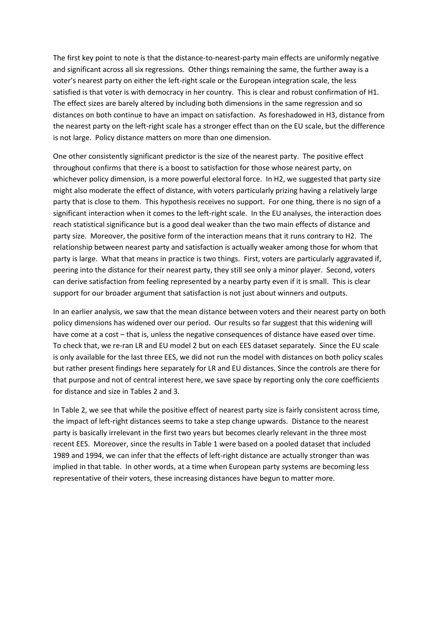The first key point to note is that the distance-to-nearest-party main effects are uniformly negative and significant across all six regressions. Other things remaining the same, the further away is a voter's nearest party on either the left-right scale or the European integration scale, the less satisfied is that voter is with democracy in her country. This is clear and robust confirmation of H1. The effect sizes are barely altered by including both dimensions in the same regression and so distances on both continue to have an impact on satisfaction. As foreshadowed in H3, distance from the nearest party on the left-right scale has a stronger effect than on the EU scale, but the difference is not large. Policy distance matters on more than one dimension.

One other consistently significant predictor is the size of the nearest party. The positive effect throughout confirms that there is a boost to satisfaction for those whose nearest party, on whichever policy dimension, is a more powerful electoral force. In H2, we suggested that party size might also moderate the effect of distance, with voters particularly prizing having a relatively large party that is close to them. This hypothesis receives no support. For one thing, there is no sign of a significant interaction when it comes to the left-right scale. In the EU analyses, the interaction does reach statistical significance but is a good deal weaker than the two main effects of distance and party size. Moreover, the positive form of the interaction means that it runs contrary to H2. The relationship between nearest party and satisfaction is actually weaker among those for whom that party is large. What that means in practice is two things. First, voters are particularly aggravated if, peering into the distance for their nearest party, they still see only a minor player. Second, voters can derive satisfaction from feeling represented by a nearby party even if it is small. This is clear support for our broader argument that satisfaction is not just about winners and outputs.

In an earlier analysis, we saw that the mean distance between voters and their nearest party on both policy dimensions has widened over our period. Our results so far suggest that this widening will have come at a cost – that is, unless the negative consequences of distance have eased over time. To check that, we re-ran LR and EU model 2 but on each EES dataset separately. Since the EU scale is only available for the last three EES, we did not run the model with distances on both policy scales but rather present findings here separately for LR and EU distances. Since the controls are there for that purpose and not of central interest here, we save space by reporting only the core coefficients for distance and size in Tables 2 and 3.

In Table 2, we see that while the positive effect of nearest party size is fairly consistent across time, the impact of left-right distances seems to take a step change upwards. Distance to the nearest party is basically irrelevant in the first two years but becomes clearly relevant in the three most recent EES. Moreover, since the results in Table 1 were based on a pooled dataset that included 1989 and 1994, we can infer that the effects of left-right distance are actually stronger than was implied in that table. In other words, at a time when European party systems are becoming less representative of their voters, these increasing distances have begun to matter more.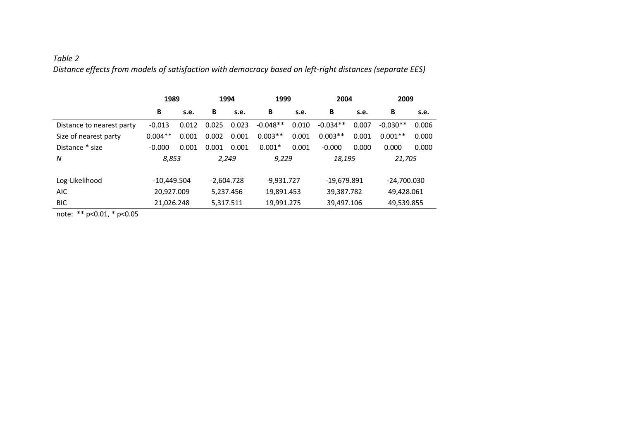# *Table 2 Distance effects from models of satisfaction with democracy based on left-right distances (separate EES)*

|                           | 1989          |       | 1994         |       | 1999         |       | 2004          |       | 2009        |       |
|---------------------------|---------------|-------|--------------|-------|--------------|-------|---------------|-------|-------------|-------|
|                           | B             | s.e.  | В            | s.e.  | B            | s.e.  | B             | s.e.  | B           | s.e.  |
| Distance to nearest party | $-0.013$      | 0.012 | 0.025        | 0.023 | $-0.048**$   | 0.010 | $-0.034**$    | 0.007 | $-0.030**$  | 0.006 |
| Size of nearest party     | $0.004**$     | 0.001 | 0.002        | 0.001 | $0.003**$    | 0.001 | $0.003**$     | 0.001 | $0.001**$   | 0.000 |
| Distance * size           | $-0.000$      | 0.001 | 0.001        | 0.001 | $0.001*$     | 0.001 | $-0.000$      | 0.000 | 0.000       | 0.000 |
| N                         | 8,853         |       | 2,249        |       | 9,229        |       | 18,195        |       | 21,705      |       |
|                           |               |       |              |       |              |       |               |       |             |       |
| Log-Likelihood            | $-10,449.504$ |       | $-2,604.728$ |       | $-9,931.727$ |       | $-19.679.891$ |       | -24,700.030 |       |
| <b>AIC</b>                | 20,927.009    |       | 5,237.456    |       | 19,891.453   |       | 39,387.782    |       | 49,428.061  |       |
| <b>BIC</b>                | 21,026.248    |       | 5,317.511    |       | 19,991.275   |       | 39,497.106    |       | 49,539.855  |       |

note: \*\* p<0.01, \* p<0.05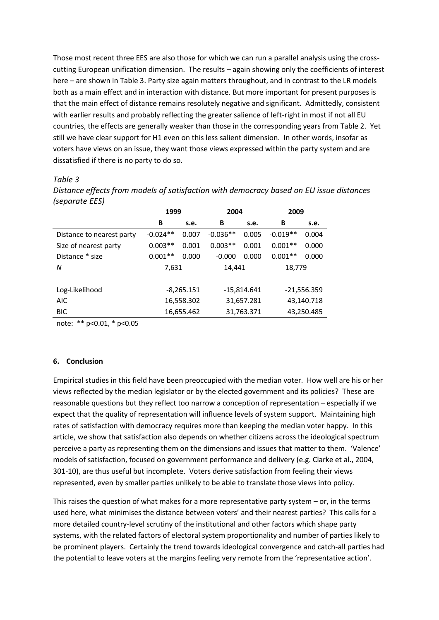Those most recent three EES are also those for which we can run a parallel analysis using the crosscutting European unification dimension. The results – again showing only the coefficients of interest here – are shown in Table 3. Party size again matters throughout, and in contrast to the LR models both as a main effect and in interaction with distance. But more important for present purposes is that the main effect of distance remains resolutely negative and significant. Admittedly, consistent with earlier results and probably reflecting the greater salience of left-right in most if not all EU countries, the effects are generally weaker than those in the corresponding years from Table 2. Yet still we have clear support for H1 even on this less salient dimension. In other words, insofar as voters have views on an issue, they want those views expressed within the party system and are dissatisfied if there is no party to do so.

### *Table 3*

*Distance effects from models of satisfaction with democracy based on EU issue distances (separate EES)*

|                           | 1999       |              | 2004       |               | 2009          |       |  |
|---------------------------|------------|--------------|------------|---------------|---------------|-------|--|
|                           | В          | s.e.         | В          | s.e.          | В             | s.e.  |  |
| Distance to nearest party | $-0.024**$ | 0.007        | $-0.036**$ | 0.005         | $-0.019**$    | 0.004 |  |
| Size of nearest party     | $0.003**$  | 0.001        | $0.003**$  | 0.001         | $0.001**$     | 0.000 |  |
| Distance * size           | $0.001**$  | 0.000        | $-0.000$   | 0.000         | $0.001**$     | 0.000 |  |
| N                         | 7,631      |              | 14,441     |               | 18,779        |       |  |
|                           |            |              |            |               |               |       |  |
| Log-Likelihood            |            | $-8,265.151$ |            | $-15,814.641$ | $-21,556.359$ |       |  |
| <b>AIC</b>                |            | 16,558.302   | 31,657.281 |               | 43,140.718    |       |  |
| <b>BIC</b>                |            | 16,655.462   |            | 31,763.371    | 43,250.485    |       |  |

note: \*\* p<0.01, \* p<0.05

### **6. Conclusion**

Empirical studies in this field have been preoccupied with the median voter. How well are his or her views reflected by the median legislator or by the elected government and its policies? These are reasonable questions but they reflect too narrow a conception of representation – especially if we expect that the quality of representation will influence levels of system support. Maintaining high rates of satisfaction with democracy requires more than keeping the median voter happy. In this article, we show that satisfaction also depends on whether citizens across the ideological spectrum perceive a party as representing them on the dimensions and issues that matter to them. 'Valence' models of satisfaction, focused on government performance and delivery (e.g. Clarke et al., 2004, 301-10), are thus useful but incomplete. Voters derive satisfaction from feeling their views represented, even by smaller parties unlikely to be able to translate those views into policy.

This raises the question of what makes for a more representative party system  $-$  or, in the terms used here, what minimises the distance between voters' and their nearest parties? This calls for a more detailed country-level scrutiny of the institutional and other factors which shape party systems, with the related factors of electoral system proportionality and number of parties likely to be prominent players. Certainly the trend towards ideological convergence and catch-all parties had the potential to leave voters at the margins feeling very remote from the 'representative action'.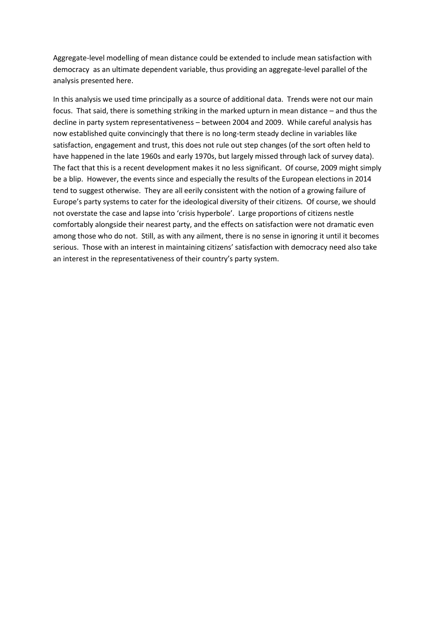Aggregate-level modelling of mean distance could be extended to include mean satisfaction with democracy as an ultimate dependent variable, thus providing an aggregate-level parallel of the analysis presented here.

In this analysis we used time principally as a source of additional data. Trends were not our main focus. That said, there is something striking in the marked upturn in mean distance – and thus the decline in party system representativeness – between 2004 and 2009. While careful analysis has now established quite convincingly that there is no long-term steady decline in variables like satisfaction, engagement and trust, this does not rule out step changes (of the sort often held to have happened in the late 1960s and early 1970s, but largely missed through lack of survey data). The fact that this is a recent development makes it no less significant. Of course, 2009 might simply be a blip. However, the events since and especially the results of the European elections in 2014 tend to suggest otherwise. They are all eerily consistent with the notion of a growing failure of Europe's party systems to cater for the ideological diversity of their citizens. Of course, we should not overstate the case and lapse into 'crisis hyperbole'. Large proportions of citizens nestle comfortably alongside their nearest party, and the effects on satisfaction were not dramatic even among those who do not. Still, as with any ailment, there is no sense in ignoring it until it becomes serious. Those with an interest in maintaining citizens' satisfaction with democracy need also take an interest in the representativeness of their country's party system.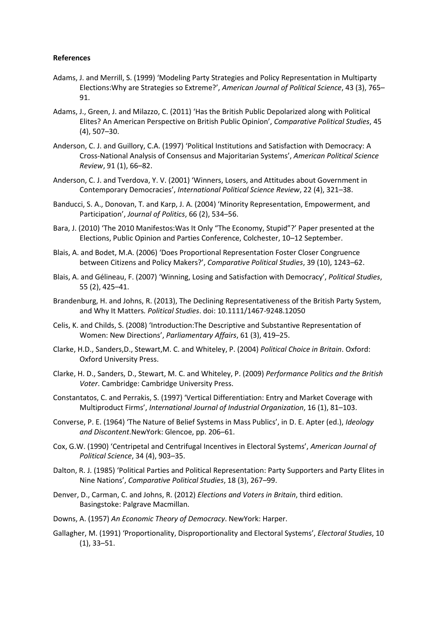### **References**

- Adams, J. and Merrill, S. (1999) 'Modeling Party Strategies and Policy Representation in Multiparty Elections:Why are Strategies so Extreme?', *American Journal of Political Science*, 43 (3), 765– 91.
- Adams, J., Green, J. and Milazzo, C. (2011) 'Has the British Public Depolarized along with Political Elites? An American Perspective on British Public Opinion', *Comparative Political Studies*, 45 (4), 507–30.
- Anderson, C. J. and Guillory, C.A. (1997) 'Political Institutions and Satisfaction with Democracy: A Cross-National Analysis of Consensus and Majoritarian Systems', *American Political Science Review*, 91 (1), 66–82.
- Anderson, C. J. and Tverdova, Y. V. (2001) 'Winners, Losers, and Attitudes about Government in Contemporary Democracies', *International Political Science Review*, 22 (4), 321–38.
- Banducci, S. A., Donovan, T. and Karp, J. A. (2004) 'Minority Representation, Empowerment, and Participation', *Journal of Politics*, 66 (2), 534–56.
- Bara, J. (2010) 'The 2010 Manifestos:Was It Only "The Economy, Stupid"?' Paper presented at the Elections, Public Opinion and Parties Conference, Colchester, 10–12 September.
- Blais, A. and Bodet, M.A. (2006) 'Does Proportional Representation Foster Closer Congruence between Citizens and Policy Makers?', *Comparative Political Studies*, 39 (10), 1243–62.
- Blais, A. and Gélineau, F. (2007) 'Winning, Losing and Satisfaction with Democracy', *Political Studies*, 55 (2), 425–41.
- Brandenburg, H. and Johns, R. (2013), The Declining Representativeness of the British Party System, and Why It Matters*. Political Studies*. doi: 10.1111/1467-9248.12050
- Celis, K. and Childs, S. (2008) 'Introduction:The Descriptive and Substantive Representation of Women: New Directions', *Parliamentary Affairs*, 61 (3), 419–25.
- Clarke, H.D., Sanders,D., Stewart,M. C. and Whiteley, P. (2004) *Political Choice in Britain*. Oxford: Oxford University Press.
- Clarke, H. D., Sanders, D., Stewart, M. C. and Whiteley, P. (2009) *Performance Politics and the British Voter*. Cambridge: Cambridge University Press.
- Constantatos, C. and Perrakis, S. (1997) 'Vertical Differentiation: Entry and Market Coverage with Multiproduct Firms', *International Journal of Industrial Organization*, 16 (1), 81–103.
- Converse, P. E. (1964) 'The Nature of Belief Systems in Mass Publics', in D. E. Apter (ed.), *Ideology and Discontent*.NewYork: Glencoe, pp. 206–61.
- Cox, G.W. (1990) 'Centripetal and Centrifugal Incentives in Electoral Systems', *American Journal of Political Science*, 34 (4), 903–35.
- Dalton, R. J. (1985) 'Political Parties and Political Representation: Party Supporters and Party Elites in Nine Nations', *Comparative Political Studies*, 18 (3), 267–99.
- Denver, D., Carman, C. and Johns, R. (2012) *Elections and Voters in Britain*, third edition. Basingstoke: Palgrave Macmillan.
- Downs, A. (1957) *An Economic Theory of Democracy*. NewYork: Harper.
- Gallagher, M. (1991) 'Proportionality, Disproportionality and Electoral Systems', *Electoral Studies*, 10 (1), 33–51.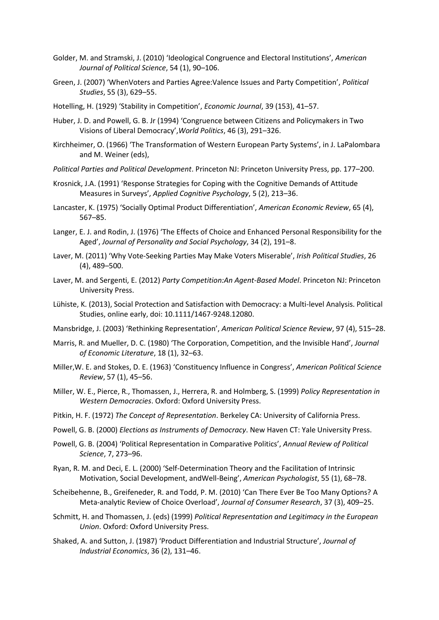- Golder, M. and Stramski, J. (2010) 'Ideological Congruence and Electoral Institutions', *American Journal of Political Science*, 54 (1), 90–106.
- Green, J. (2007) 'WhenVoters and Parties Agree:Valence Issues and Party Competition', *Political Studies*, 55 (3), 629–55.
- Hotelling, H. (1929) 'Stability in Competition', *Economic Journal*, 39 (153), 41–57.
- Huber, J. D. and Powell, G. B. Jr (1994) 'Congruence between Citizens and Policymakers in Two Visions of Liberal Democracy',*World Politics*, 46 (3), 291–326.
- Kirchheimer, O. (1966) 'The Transformation of Western European Party Systems', in J. LaPalombara and M. Weiner (eds),
- *Political Parties and Political Development*. Princeton NJ: Princeton University Press, pp. 177–200.
- Krosnick, J.A. (1991) 'Response Strategies for Coping with the Cognitive Demands of Attitude Measures in Surveys', *Applied Cognitive Psychology*, 5 (2), 213–36.
- Lancaster, K. (1975) 'Socially Optimal Product Differentiation', *American Economic Review*, 65 (4), 567–85.
- Langer, E. J. and Rodin, J. (1976) 'The Effects of Choice and Enhanced Personal Responsibility for the Aged', *Journal of Personality and Social Psychology*, 34 (2), 191–8.
- Laver, M. (2011) 'Why Vote-Seeking Parties May Make Voters Miserable', *Irish Political Studies*, 26 (4), 489–500.
- Laver, M. and Sergenti, E. (2012) *Party Competition:An Agent-Based Model*. Princeton NJ: Princeton University Press.
- Lühiste, K. (2013), Social Protection and Satisfaction with Democracy: a Multi-level Analysis. Political Studies, online early, doi: 10.1111/1467-9248.12080.
- Mansbridge, J. (2003) 'Rethinking Representation', *American Political Science Review*, 97 (4), 515–28.
- Marris, R. and Mueller, D. C. (1980) 'The Corporation, Competition, and the Invisible Hand', *Journal of Economic Literature*, 18 (1), 32–63.
- Miller,W. E. and Stokes, D. E. (1963) 'Constituency Influence in Congress', *American Political Science Review*, 57 (1), 45–56.
- Miller, W. E., Pierce, R., Thomassen, J., Herrera, R. and Holmberg, S. (1999) *Policy Representation in Western Democracies*. Oxford: Oxford University Press.
- Pitkin, H. F. (1972) *The Concept of Representation*. Berkeley CA: University of California Press.
- Powell, G. B. (2000) *Elections as Instruments of Democracy*. New Haven CT: Yale University Press.
- Powell, G. B. (2004) 'Political Representation in Comparative Politics', *Annual Review of Political Science*, 7, 273–96.
- Ryan, R. M. and Deci, E. L. (2000) 'Self-Determination Theory and the Facilitation of Intrinsic Motivation, Social Development, andWell-Being', *American Psychologist*, 55 (1), 68–78.
- Scheibehenne, B., Greifeneder, R. and Todd, P. M. (2010) 'Can There Ever Be Too Many Options? A Meta-analytic Review of Choice Overload', *Journal of Consumer Research*, 37 (3), 409–25.
- Schmitt, H. and Thomassen, J. (eds) (1999) *Political Representation and Legitimacy in the European Union*. Oxford: Oxford University Press.
- Shaked, A. and Sutton, J. (1987) 'Product Differentiation and Industrial Structure', *Journal of Industrial Economics*, 36 (2), 131–46.